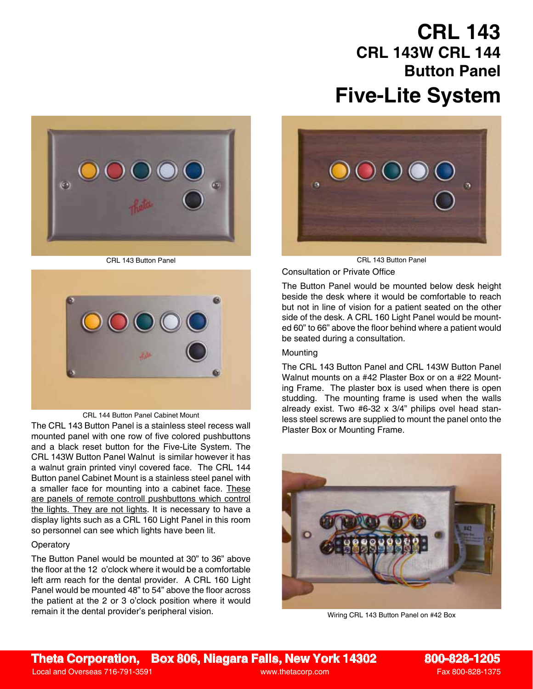# **Five-Lite System CRL 143 CRL 143W CRL 144 Button Panel**





#### CRL 144 Button Panel Cabinet Mount

The CRL 143 Button Panel is a stainless steel recess wall Plaster Box or Mounting Frame. mounted panel with one row of five colored pushbuttons and a black reset button for the Five-Lite System. The CRL 143W Button Panel Walnut is similar however it has a walnut grain printed vinyl covered face. The CRL 144 Button panel Cabinet Mount is a stainless steel panel with a smaller face for mounting into a cabinet face. These are panels of remote controll pushbuttons which control the lights. They are not lights. It is necessary to have a display lights such as a CRL 160 Light Panel in this room so personnel can see which lights have been lit.

## **Operatory**

The Button Panel would be mounted at 30" to 36" above the floor at the 12 o'clock where it would be a comfortable left arm reach for the dental provider. A CRL 160 Light Panel would be mounted 48" to 54" above the floor across the patient at the 2 or 3 o'clock position where it would remain it the dental provider's peripheral vision.



CRL 143 Button Panel CRL 143 Button Panel

Consultation or Private Office

The Button Panel would be mounted below desk height beside the desk where it would be comfortable to reach but not in line of vision for a patient seated on the other side of the desk. A CRL 160 Light Panel would be mounted 60" to 66" above the floor behind where a patient would be seated during a consultation.

### **Mounting**

The CRL 143 Button Panel and CRL 143W Button Panel Walnut mounts on a #42 Plaster Box or on a #22 Mounting Frame. The plaster box is used when there is open studding. The mounting frame is used when the walls already exist. Two #6-32 x 3/4" philips ovel head stanless steel screws are supplied to mount the panel onto the



Wiring CRL 143 Button Panel on #42 Box

**Theta Corporation, Box 806, Niagara Falls, New York 14302 800-828-1205**

Local and Overseas 716-791-3591 www.thetacorp.com Fax 800-828-1375